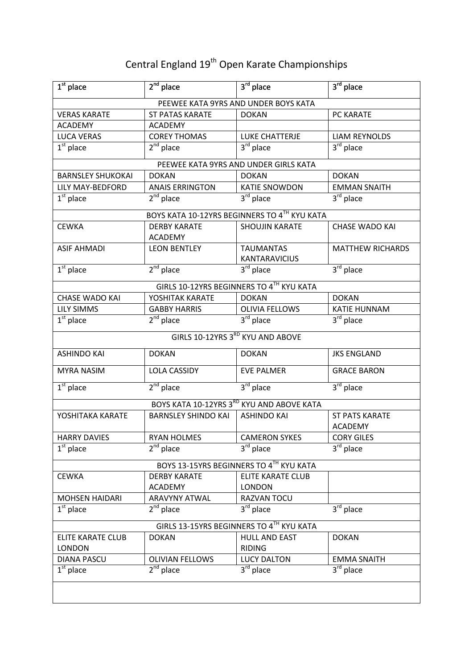## Central England 19<sup>th</sup> Open Karate Championships

| $1st$ place                               | $2nd$ place                          | 3rd place                                    | $3rd$ place             |  |  |
|-------------------------------------------|--------------------------------------|----------------------------------------------|-------------------------|--|--|
|                                           | PEEWEE KATA 9YRS AND UNDER BOYS KATA |                                              |                         |  |  |
| <b>VERAS KARATE</b>                       | <b>ST PATAS KARATE</b>               | <b>DOKAN</b>                                 | PC KARATE               |  |  |
| <b>ACADEMY</b>                            | <b>ACADEMY</b>                       |                                              |                         |  |  |
| <b>LUCA VERAS</b>                         | <b>COREY THOMAS</b>                  | <b>LUKE CHATTERJE</b>                        | <b>LIAM REYNOLDS</b>    |  |  |
| $\overline{1^{st}}$ place                 | $2nd$ place                          | $3rd$ place                                  | $3rd$ place             |  |  |
|                                           |                                      | PEEWEE KATA 9YRS AND UNDER GIRLS KATA        |                         |  |  |
| <b>BARNSLEY SHUKOKAI</b>                  | <b>DOKAN</b>                         | <b>DOKAN</b>                                 | <b>DOKAN</b>            |  |  |
| <b>LILY MAY-BEDFORD</b>                   | <b>ANAIS ERRINGTON</b>               | <b>KATIE SNOWDON</b>                         | <b>EMMAN SNAITH</b>     |  |  |
| $1st$ place                               | $2nd$ place                          | 3rd place                                    | $3rd$ place             |  |  |
|                                           |                                      | BOYS KATA 10-12YRS BEGINNERS TO 4TH KYU KATA |                         |  |  |
| <b>CEWKA</b>                              | <b>DERBY KARATE</b>                  | <b>SHOUJIN KARATE</b>                        | <b>CHASE WADO KAI</b>   |  |  |
|                                           | <b>ACADEMY</b>                       |                                              |                         |  |  |
| <b>ASIF AHMADI</b>                        | <b>LEON BENTLEY</b>                  | <b>TAUMANTAS</b>                             | <b>MATTHEW RICHARDS</b> |  |  |
|                                           |                                      | <b>KANTARAVICIUS</b>                         |                         |  |  |
| $1st$ place                               | $2nd$ place                          | $3rd$ place                                  | $3rd$ place             |  |  |
|                                           |                                      | GIRLS 10-12YRS BEGINNERS TO 4TH KYU KATA     |                         |  |  |
| <b>CHASE WADO KAI</b>                     | YOSHITAK KARATE                      | <b>DOKAN</b>                                 | <b>DOKAN</b>            |  |  |
| <b>LILY SIMMS</b>                         | <b>GABBY HARRIS</b>                  | <b>OLIVIA FELLOWS</b>                        | <b>KATIE HUNNAM</b>     |  |  |
| $1st$ place                               | $2nd$ place                          | $3rd$ place                                  | $3rd$ place             |  |  |
|                                           |                                      | GIRLS 10-12YRS 3RD KYU AND ABOVE             |                         |  |  |
| <b>ASHINDO KAI</b>                        | <b>DOKAN</b>                         | <b>DOKAN</b>                                 | <b>JKS ENGLAND</b>      |  |  |
| <b>MYRA NASIM</b>                         | <b>LOLA CASSIDY</b>                  | <b>EVE PALMER</b>                            | <b>GRACE BARON</b>      |  |  |
| $1st$ place                               | $2nd$ place                          | $3rd$ place                                  | 3 <sup>rd</sup> place   |  |  |
|                                           |                                      | BOYS KATA 10-12YRS 3RD KYU AND ABOVE KATA    |                         |  |  |
| YOSHITAKA KARATE                          | <b>BARNSLEY SHINDO KAI</b>           | <b>ASHINDO KAI</b>                           | <b>ST PATS KARATE</b>   |  |  |
|                                           |                                      |                                              | <b>ACADEMY</b>          |  |  |
| <b>HARRY DAVIES</b>                       | <b>RYAN HOLMES</b>                   | <b>CAMERON SYKES</b>                         | <b>CORY GILES</b>       |  |  |
| $1st$ place                               | $2nd$ place                          | $3rd$ place                                  | $3^{\text{rd}}$ place   |  |  |
| BOYS 13-15YRS BEGINNERS TO 4TH KYU KATA   |                                      |                                              |                         |  |  |
| <b>CEWKA</b>                              | <b>DERBY KARATE</b>                  | ELITE KARATE CLUB                            |                         |  |  |
|                                           | <b>ACADEMY</b>                       | <b>LONDON</b>                                |                         |  |  |
| <b>MOHSEN HAIDARI</b>                     | <b>ARAVYNY ATWAL</b>                 | RAZVAN TOCU                                  |                         |  |  |
| $1st$ place                               | $2nd$ place                          | $3rd$ place                                  | 3rd place               |  |  |
| GIRLS 13-15YRS BEGINNERS TO 4TH KYU KATA  |                                      |                                              |                         |  |  |
|                                           |                                      |                                              |                         |  |  |
| <b>ELITE KARATE CLUB</b><br><b>LONDON</b> | <b>DOKAN</b>                         | <b>HULL AND EAST</b><br><b>RIDING</b>        | <b>DOKAN</b>            |  |  |
| <b>DIANA PASCU</b>                        | <b>OLIVIAN FELLOWS</b>               | <b>LUCY DALTON</b>                           | <b>EMMA SNAITH</b>      |  |  |
| $\overline{1^{st}}$ place                 | $2nd$ place                          | 3rd place                                    | $3^{\text{rd}}$ place   |  |  |
|                                           |                                      |                                              |                         |  |  |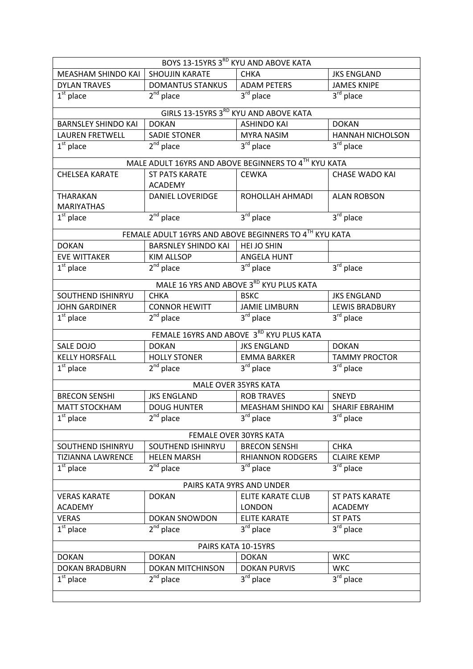| BOYS 13-15YRS 3RD KYU AND ABOVE KATA |                            |                                                        |                         |  |
|--------------------------------------|----------------------------|--------------------------------------------------------|-------------------------|--|
| MEASHAM SHINDO KAI                   | <b>SHOUJIN KARATE</b>      | <b>CHKA</b>                                            | <b>JKS ENGLAND</b>      |  |
| <b>DYLAN TRAVES</b>                  | <b>DOMANTUS STANKUS</b>    | <b>ADAM PETERS</b>                                     | <b>JAMES KNIPE</b>      |  |
| $1st$ place                          | $2nd$ place                | $3rd$ place                                            | $3rd$ place             |  |
|                                      |                            | GIRLS 13-15YRS 3RD KYU AND ABOVE KATA                  |                         |  |
| <b>BARNSLEY SHINDO KAI</b>           | <b>DOKAN</b>               | <b>ASHINDO KAI</b>                                     | <b>DOKAN</b>            |  |
| <b>LAUREN FRETWELL</b>               | <b>SADIE STONER</b>        | <b>MYRA NASIM</b>                                      | <b>HANNAH NICHOLSON</b> |  |
| $\overline{1^{st}}$ place            | $2nd$ place                | 3rd place                                              | $3rd$ place             |  |
|                                      |                            | MALE ADULT 16YRS AND ABOVE BEGINNERS TO 4TH KYU KATA   |                         |  |
| <b>CHELSEA KARATE</b>                | <b>ST PATS KARATE</b>      | <b>CEWKA</b>                                           | <b>CHASE WADO KAI</b>   |  |
|                                      | <b>ACADEMY</b>             |                                                        |                         |  |
| <b>THARAKAN</b>                      | <b>DANIEL LOVERIDGE</b>    | ROHOLLAH AHMADI                                        | <b>ALAN ROBSON</b>      |  |
| <b>MARIYATHAS</b>                    |                            |                                                        |                         |  |
| $\overline{1}^{\text{st}}$ place     | $2nd$ place                | $3rd$ place                                            | 3rd place               |  |
|                                      |                            | FEMALE ADULT 16YRS AND ABOVE BEGINNERS TO 4TH KYU KATA |                         |  |
| <b>DOKAN</b>                         | <b>BARSNLEY SHINDO KAI</b> | <b>HEI JO SHIN</b>                                     |                         |  |
| <b>EVE WITTAKER</b>                  | <b>KIM ALLSOP</b>          | <b>ANGELA HUNT</b>                                     |                         |  |
| $1st$ place                          | $2^{nd}$ place             | 3rd place                                              | $3rd$ place             |  |
|                                      |                            | MALE 16 YRS AND ABOVE 3RD KYU PLUS KATA                |                         |  |
| SOUTHEND ISHINRYU                    | <b>CHKA</b>                | <b>BSKC</b>                                            | <b>JKS ENGLAND</b>      |  |
| <b>JOHN GARDINER</b>                 | <b>CONNOR HEWITT</b>       | <b>JAMIE LIMBURN</b>                                   | <b>LEWIS BRADBURY</b>   |  |
| $1st$ place                          | $2nd$ place                | 3rd place                                              | 3rd place               |  |
|                                      |                            | FEMALE 16YRS AND ABOVE 3RD KYU PLUS KATA               |                         |  |
| SALE DOJO                            | <b>DOKAN</b>               | <b>JKS ENGLAND</b>                                     | <b>DOKAN</b>            |  |
| <b>KELLY HORSFALL</b>                | <b>HOLLY STONER</b>        | <b>EMMA BARKER</b>                                     | <b>TAMMY PROCTOR</b>    |  |
| $1st$ place                          | $2nd$ place                | 3rd place                                              | 3 <sup>rd</sup> place   |  |
|                                      |                            | MALE OVER 35YRS KATA                                   |                         |  |
| <b>BRECON SENSHI</b>                 | <b>JKS ENGLAND</b>         | <b>ROB TRAVES</b>                                      | SNEYD                   |  |
| <b>MATT STOCKHAM</b>                 | <b>DOUG HUNTER</b>         | MEASHAM SHINDO KAI   SHARIF EBRAHIM                    |                         |  |
| $1st$ place                          | $2nd$ place                | 3rd place                                              | 3rd place               |  |
|                                      |                            | FEMALE OVER 30YRS KATA                                 |                         |  |
| SOUTHEND ISHINRYU                    | SOUTHEND ISHINRYU          | <b>BRECON SENSHI</b>                                   | <b>CHKA</b>             |  |
| <b>TIZIANNA LAWRENCE</b>             | <b>HELEN MARSH</b>         | <b>RHIANNON RODGERS</b>                                | <b>CLAIRE KEMP</b>      |  |
| $1st$ place                          | $2^{nd}$ place             | $3rd$ place                                            | 3 <sup>rd</sup> place   |  |
| PAIRS KATA 9YRS AND UNDER            |                            |                                                        |                         |  |
| <b>VERAS KARATE</b>                  | <b>DOKAN</b>               | <b>ELITE KARATE CLUB</b>                               | <b>ST PATS KARATE</b>   |  |
| <b>ACADEMY</b>                       |                            | <b>LONDON</b>                                          | <b>ACADEMY</b>          |  |
| <b>VERAS</b>                         | <b>DOKAN SNOWDON</b>       | <b>ELITE KARATE</b>                                    | <b>ST PATS</b>          |  |
| $1st$ place                          | $2nd$ place                | $3^{\text{rd}}$ place                                  | $3rd$ place             |  |
| PAIRS KATA 10-15YRS                  |                            |                                                        |                         |  |
| <b>DOKAN</b>                         | <b>DOKAN</b>               | <b>DOKAN</b>                                           | <b>WKC</b>              |  |
| <b>DOKAN BRADBURN</b>                | <b>DOKAN MITCHINSON</b>    | <b>DOKAN PURVIS</b>                                    | <b>WKC</b>              |  |
| $\overline{1}^{\text{st}}$ place     | $2nd$ place                | $3^{\text{rd}}$ place                                  | $3rd$ place             |  |
|                                      |                            |                                                        |                         |  |
|                                      |                            |                                                        |                         |  |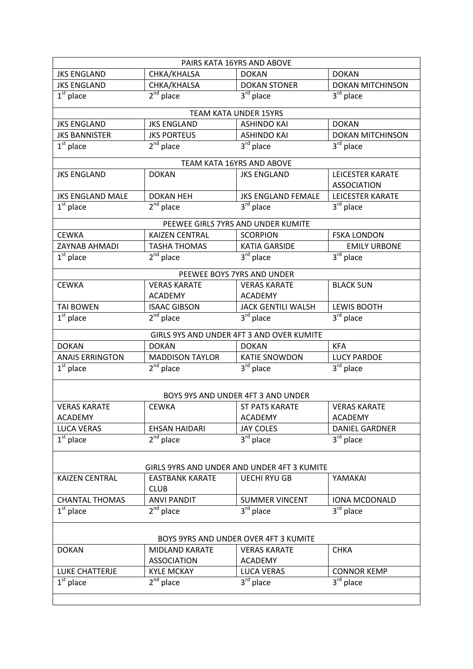| PAIRS KATA 16YRS AND ABOVE                  |                                   |                                           |                                  |  |
|---------------------------------------------|-----------------------------------|-------------------------------------------|----------------------------------|--|
| <b>JKS ENGLAND</b>                          | CHKA/KHALSA                       | <b>DOKAN</b>                              | <b>DOKAN</b>                     |  |
| <b>JKS ENGLAND</b>                          | CHKA/KHALSA                       | <b>DOKAN STONER</b>                       | <b>DOKAN MITCHINSON</b>          |  |
| $1st$ place                                 | $2nd$ place                       | $3rd$ place                               | $3rd$ place                      |  |
|                                             |                                   | <b>TEAM KATA UNDER 15YRS</b>              |                                  |  |
| <b>JKS ENGLAND</b>                          | <b>JKS ENGLAND</b>                | <b>ASHINDO KAI</b>                        | <b>DOKAN</b>                     |  |
| <b>JKS BANNISTER</b>                        | <b>JKS PORTEUS</b>                | <b>ASHINDO KAI</b>                        | <b>DOKAN MITCHINSON</b>          |  |
| $1st$ place                                 | $2nd$ place                       | 3 <sup>rd</sup> place                     | $3rd$ place                      |  |
|                                             |                                   | TEAM KATA 16YRS AND ABOVE                 |                                  |  |
| <b>JKS ENGLAND</b>                          | <b>DOKAN</b>                      | <b>JKS ENGLAND</b>                        | <b>LEICESTER KARATE</b>          |  |
|                                             |                                   |                                           | <b>ASSOCIATION</b>               |  |
| <b>JKS ENGLAND MALE</b>                     | <b>DOKAN HEH</b>                  | <b>JKS ENGLAND FEMALE</b>                 | <b>LEICESTER KARATE</b>          |  |
| $1st$ place                                 | $2nd$ place                       | $3rd$ place                               | $3rd$ place                      |  |
|                                             |                                   | PEEWEE GIRLS 7YRS AND UNDER KUMITE        |                                  |  |
| <b>CEWKA</b>                                | <b>KAIZEN CENTRAL</b>             | <b>SCORPION</b>                           | <b>FSKA LONDON</b>               |  |
| ZAYNAB AHMADI                               | <b>TASHA THOMAS</b>               | <b>KATIA GARSIDE</b>                      | <b>EMILY URBONE</b>              |  |
| $\overline{1}^{\text{st}}$ place            | $2nd$ place                       | 3 <sup>rd</sup> place                     | $3rd$ place                      |  |
|                                             |                                   | PEEWEE BOYS 7YRS AND UNDER                |                                  |  |
| <b>CEWKA</b>                                | <b>VERAS KARATE</b>               | <b>VERAS KARATE</b>                       | <b>BLACK SUN</b>                 |  |
|                                             | <b>ACADEMY</b>                    | <b>ACADEMY</b>                            |                                  |  |
| <b>TAI BOWEN</b>                            | <b>ISAAC GIBSON</b>               | <b>JACK GENTILI WALSH</b>                 | <b>LEWIS BOOTH</b>               |  |
| $\overline{1^{st}}$ place                   | $2nd$ place                       | $3rd$ place                               | 3rd place                        |  |
|                                             |                                   | GIRLS 9YS AND UNDER 4FT 3 AND OVER KUMITE |                                  |  |
| <b>DOKAN</b>                                | <b>DOKAN</b>                      | <b>DOKAN</b>                              | <b>KFA</b>                       |  |
| <b>ANAIS ERRINGTON</b>                      | <b>MADDISON TAYLOR</b>            | <b>KATIE SNOWDON</b>                      | <b>LUCY PARDOE</b>               |  |
| $1st$ place                                 | $2nd$ place                       | $3^{\text{rd}}$ place                     | $3^{\text{rd}}$ place            |  |
|                                             |                                   |                                           |                                  |  |
|                                             |                                   | BOYS 9YS AND UNDER 4FT 3 AND UNDER        |                                  |  |
| <b>VERAS KARATE</b>                         | <b>CEWKA</b>                      | <b>ST PATS KARATE</b>                     | <b>VERAS KARATE</b>              |  |
| <b>ACADEMY</b>                              |                                   | <b>ACADEMY</b>                            | <b>ACADEMY</b>                   |  |
| <b>LUCA VERAS</b>                           | <b>EHSAN HAIDARI</b>              | <b>JAY COLES</b>                          | <b>DANIEL GARDNER</b>            |  |
| $1st$ place                                 | $2nd$ place                       | $3^{\overline{\text{rd}}}$ place          | 3rd place                        |  |
|                                             |                                   |                                           |                                  |  |
| GIRLS 9YRS AND UNDER AND UNDER 4FT 3 KUMITE |                                   |                                           |                                  |  |
| <b>KAIZEN CENTRAL</b>                       | <b>EASTBANK KARATE</b>            | <b>UECHI RYU GB</b>                       | YAMAKAI                          |  |
| <b>CHANTAL THOMAS</b>                       | <b>CLUB</b><br><b>ANVI PANDIT</b> | <b>SUMMER VINCENT</b>                     | IONA MCDONALD                    |  |
| $\overline{1}^{\text{st}}$ place            | $2nd$ place                       | $3rd$ place                               | $3^{\overline{\text{rd}}}$ place |  |
|                                             |                                   |                                           |                                  |  |
| BOYS 9YRS AND UNDER OVER 4FT 3 KUMITE       |                                   |                                           |                                  |  |
| <b>DOKAN</b>                                | <b>MIDLAND KARATE</b>             | <b>VERAS KARATE</b>                       | <b>CHKA</b>                      |  |
|                                             | <b>ASSOCIATION</b>                | <b>ACADEMY</b>                            |                                  |  |
| LUKE CHATTERJE                              | <b>KYLE MCKAY</b>                 | <b>LUCA VERAS</b>                         | <b>CONNOR KEMP</b>               |  |
| $\overline{1}^{\text{st}}$ place            | $2^{nd}$ place                    | 3rd place                                 | $3^{\text{rd}}$ place            |  |
|                                             |                                   |                                           |                                  |  |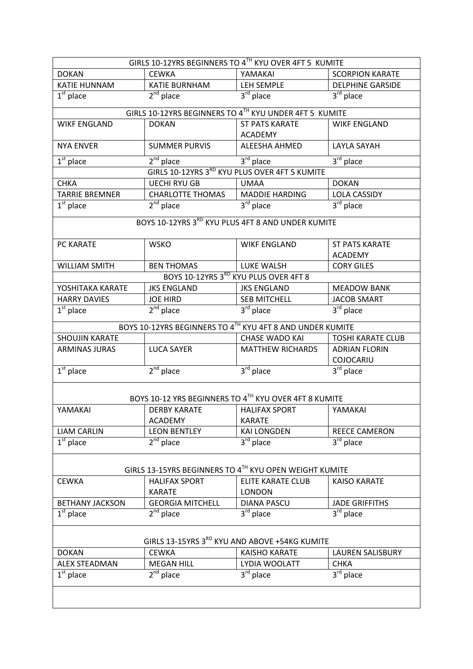| GIRLS 10-12YRS BEGINNERS TO 4TH KYU OVER 4FT 5 KUMITE  |                         |                                                           |                                   |  |
|--------------------------------------------------------|-------------------------|-----------------------------------------------------------|-----------------------------------|--|
| <b>DOKAN</b>                                           | <b>CEWKA</b>            | YAMAKAI                                                   | <b>SCORPION KARATE</b>            |  |
| <b>KATIE HUNNAM</b>                                    | <b>KATIE BURNHAM</b>    | LEH SEMPLE                                                | <b>DELPHINE GARSIDE</b>           |  |
| $1st$ place                                            | $2^{nd}$ place          | $\overline{3^{rd}}$ place                                 | $3^{\overline{\text{rd}}}$ place  |  |
|                                                        |                         | GIRLS 10-12YRS BEGINNERS TO 4TH KYU UNDER 4FT 5 KUMITE    |                                   |  |
| <b>WIKF ENGLAND</b>                                    | <b>DOKAN</b>            | <b>ST PATS KARATE</b>                                     | <b>WIKF ENGLAND</b>               |  |
|                                                        |                         | <b>ACADEMY</b>                                            |                                   |  |
| <b>NYA ENVER</b>                                       | <b>SUMMER PURVIS</b>    | ALEESHA AHMED                                             | LAYLA SAYAH                       |  |
| $1st$ place                                            | $2nd$ place             | 3rd place                                                 | $3rd$ place                       |  |
|                                                        |                         | GIRLS 10-12YRS 3RD KYU PLUS OVER 4FT 5 KUMITE             |                                   |  |
| <b>CHKA</b>                                            | <b>UECHI RYU GB</b>     | <b>UMAA</b>                                               | <b>DOKAN</b>                      |  |
| <b>TARRIE BREMNER</b>                                  | <b>CHARLOTTE THOMAS</b> | <b>MADDIE HARDING</b>                                     | <b>LOLA CASSIDY</b>               |  |
| $1st$ place                                            | $2nd$ place             | $3rd$ place                                               | $3^{\text{rd}}$ place             |  |
|                                                        |                         | BOYS 10-12YRS 3RD KYU PLUS 4FT 8 AND UNDER KUMITE         |                                   |  |
| PC KARATE                                              | <b>WSKO</b>             | <b>WIKF ENGLAND</b>                                       | <b>ST PATS KARATE</b>             |  |
|                                                        |                         |                                                           | <b>ACADEMY</b>                    |  |
| <b>WILLIAM SMITH</b>                                   | <b>BEN THOMAS</b>       | LUKE WALSH                                                | <b>CORY GILES</b>                 |  |
|                                                        |                         | BOYS 10-12YRS 3RD KYU PLUS OVER 4FT 8                     |                                   |  |
| YOSHITAKA KARATE                                       | <b>JKS ENGLAND</b>      | <b>JKS ENGLAND</b>                                        | <b>MEADOW BANK</b>                |  |
| <b>HARRY DAVIES</b>                                    | <b>JOE HIRD</b>         | <b>SEB MITCHELL</b>                                       | <b>JACOB SMART</b>                |  |
| $1st$ place                                            | $2^{nd}$ place          | $3rd$ place                                               | $3rd$ place                       |  |
|                                                        |                         | BOYS 10-12YRS BEGINNERS TO 4TH KYU 4FT 8 AND UNDER KUMITE |                                   |  |
| <b>SHOUJIN KARATE</b>                                  |                         | <b>CHASE WADO KAI</b>                                     | <b>TOSHI KARATE CLUB</b>          |  |
| <b>ARMINAS JURAS</b>                                   | <b>LUCA SAYER</b>       | <b>MATTHEW RICHARDS</b>                                   | <b>ADRIAN FLORIN</b><br>COJOCARIU |  |
| $\overline{1^{st}}$ place                              | $2nd$ place             | 3rd place                                                 | $\overline{3}^{\text{rd}}$ place  |  |
|                                                        |                         |                                                           |                                   |  |
|                                                        |                         | BOYS 10-12 YRS BEGINNERS TO 4TH KYU OVER 4FT 8 KUMITE     |                                   |  |
| YAMAKAI                                                | <b>DERBY KARATE</b>     | <b>HALIFAX SPORT</b>                                      | YAMAKAI                           |  |
|                                                        | <b>ACADEMY</b>          | <b>KARATE</b>                                             |                                   |  |
| <b>LIAM CARLIN</b>                                     | <b>LEON BENTLEY</b>     | <b>KAI LONGDEN</b>                                        | REECE CAMERON                     |  |
| $1st$ place                                            | $2^{nd}$ place          | 3 <sup>rd</sup> place                                     | $3rd$ place                       |  |
|                                                        |                         |                                                           |                                   |  |
| GIRLS 13-15YRS BEGINNERS TO 4TH KYU OPEN WEIGHT KUMITE |                         |                                                           |                                   |  |
| <b>CEWKA</b>                                           | <b>HALIFAX SPORT</b>    | ELITE KARATE CLUB                                         | <b>KAISO KARATE</b>               |  |
|                                                        | <b>KARATE</b>           | <b>LONDON</b>                                             |                                   |  |
| <b>BETHANY JACKSON</b>                                 | <b>GEORGIA MITCHELL</b> | <b>DIANA PASCU</b>                                        | <b>JADE GRIFFITHS</b>             |  |
| $1st$ place                                            | $2^{nd}$ place          | 3rd place                                                 | $3rd$ place                       |  |
| GIRLS 13-15YRS 3RD KYU AND ABOVE +54KG KUMITE          |                         |                                                           |                                   |  |
| <b>DOKAN</b>                                           | <b>CEWKA</b>            | <b>KAISHO KARATE</b>                                      | <b>LAUREN SALISBURY</b>           |  |
| <b>ALEX STEADMAN</b>                                   | <b>MEGAN HILL</b>       | LYDIA WOOLATT                                             | <b>CHKA</b>                       |  |
| $\overline{1^{st}}$ place                              | $2nd$ place             | $3^{\overline{rd}}$ place                                 | $3^{\overline{rd}}$ place         |  |
|                                                        |                         |                                                           |                                   |  |
|                                                        |                         |                                                           |                                   |  |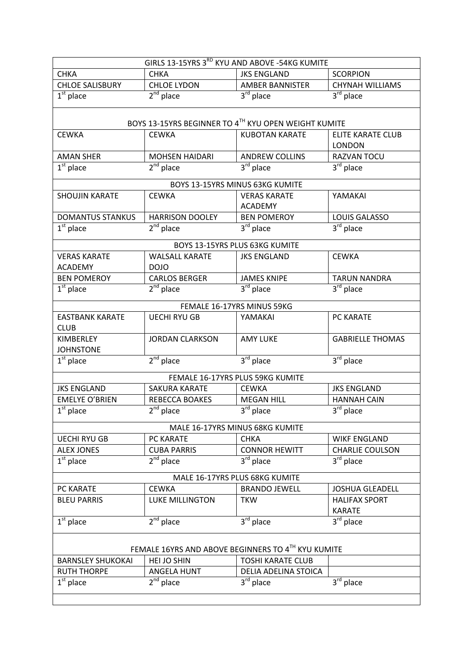| GIRLS 13-15YRS 3RD KYU AND ABOVE -54KG KUMITE                       |                        |                                                      |                                           |  |
|---------------------------------------------------------------------|------------------------|------------------------------------------------------|-------------------------------------------|--|
| <b>CHKA</b>                                                         | <b>CHKA</b>            | <b>JKS ENGLAND</b>                                   | <b>SCORPION</b>                           |  |
| <b>CHLOE SALISBURY</b>                                              | <b>CHLOE LYDON</b>     | <b>AMBER BANNISTER</b>                               | <b>CHYNAH WILLIAMS</b>                    |  |
| $1st$ place                                                         | $2nd$ place            | $3rd$ place                                          | $3rd$ place                               |  |
|                                                                     |                        |                                                      |                                           |  |
|                                                                     |                        | BOYS 13-15YRS BEGINNER TO 4TH KYU OPEN WEIGHT KUMITE |                                           |  |
| <b>CEWKA</b>                                                        | <b>CEWKA</b>           | <b>KUBOTAN KARATE</b>                                | <b>ELITE KARATE CLUB</b><br><b>LONDON</b> |  |
| <b>AMAN SHER</b>                                                    | <b>MOHSEN HAIDARI</b>  | <b>ANDREW COLLINS</b>                                | RAZVAN TOCU                               |  |
| $1st$ place                                                         | $2nd$ place            | $3rd$ place                                          | 3 <sup>rd</sup> place                     |  |
|                                                                     |                        | BOYS 13-15YRS MINUS 63KG KUMITE                      |                                           |  |
| <b>SHOUJIN KARATE</b>                                               | <b>CEWKA</b>           | <b>VERAS KARATE</b><br><b>ACADEMY</b>                | YAMAKAI                                   |  |
| <b>DOMANTUS STANKUS</b>                                             | <b>HARRISON DOOLEY</b> | <b>BEN POMEROY</b>                                   | LOUIS GALASSO                             |  |
| $1st$ place                                                         | $2^{nd}$ place         | $\overline{3}^{\text{rd}}$ place                     | 3 <sup>rd</sup> place                     |  |
|                                                                     |                        | BOYS 13-15YRS PLUS 63KG KUMITE                       |                                           |  |
| <b>VERAS KARATE</b>                                                 | <b>WALSALL KARATE</b>  | <b>JKS ENGLAND</b>                                   | <b>CEWKA</b>                              |  |
| <b>ACADEMY</b>                                                      | <b>DOJO</b>            |                                                      |                                           |  |
| <b>BEN POMEROY</b>                                                  | <b>CARLOS BERGER</b>   | <b>JAMES KNIPE</b>                                   | <b>TARUN NANDRA</b>                       |  |
| $\overline{1^{st}}$ place                                           | $2nd$ place            | $3rd$ place                                          | $3rd$ place                               |  |
|                                                                     |                        |                                                      |                                           |  |
|                                                                     |                        | FEMALE 16-17YRS MINUS 59KG                           |                                           |  |
| <b>EASTBANK KARATE</b><br><b>CLUB</b>                               | <b>UECHI RYU GB</b>    | YAMAKAI                                              | PC KARATE                                 |  |
| <b>KIMBERLEY</b><br><b>JOHNSTONE</b>                                | <b>JORDAN CLARKSON</b> | <b>AMY LUKE</b>                                      | <b>GABRIELLE THOMAS</b>                   |  |
| $1st$ place                                                         | $2nd$ place            | 3rd place                                            | 3rd place                                 |  |
|                                                                     |                        | FEMALE 16-17YRS PLUS 59KG KUMITE                     |                                           |  |
| <b>JKS ENGLAND</b>                                                  | SAKURA KARATE          | <b>CEWKA</b>                                         | <b>JKS ENGLAND</b>                        |  |
| <b>EMELYE O'BRIEN</b>                                               | REBECCA BOAKES         | <b>MEGAN HILL</b>                                    | <b>HANNAH CAIN</b>                        |  |
| $1st$ place                                                         | $2nd$ place            | $3^{\text{rd}}$ place                                | $3^{\text{rd}}$ place                     |  |
|                                                                     |                        | MALE 16-17YRS MINUS 68KG KUMITE                      |                                           |  |
| <b>UECHI RYU GB</b>                                                 | PC KARATE              | <b>CHKA</b>                                          | <b>WIKF ENGLAND</b>                       |  |
| <b>ALEX JONES</b>                                                   | <b>CUBA PARRIS</b>     | <b>CONNOR HEWITT</b>                                 | <b>CHARLIE COULSON</b>                    |  |
| $1st$ place                                                         | $2nd$ place            | $3rd$ place                                          | 3 <sup>rd</sup> place                     |  |
|                                                                     |                        |                                                      |                                           |  |
|                                                                     |                        | MALE 16-17YRS PLUS 68KG KUMITE                       |                                           |  |
| PC KARATE                                                           | <b>CEWKA</b>           | <b>BRANDO JEWELL</b>                                 | <b>JOSHUA GLEADELL</b>                    |  |
| <b>BLEU PARRIS</b>                                                  | <b>LUKE MILLINGTON</b> | <b>TKW</b>                                           | <b>HALIFAX SPORT</b><br><b>KARATE</b>     |  |
| $1st$ place                                                         | $2nd$ place            | $3rd$ place                                          | $3rd$ place                               |  |
| FEMALE 16YRS AND ABOVE BEGINNERS TO 4TH KYU KUMITE                  |                        |                                                      |                                           |  |
| <b>TOSHI KARATE CLUB</b><br>HEI JO SHIN<br><b>BARNSLEY SHUKOKAI</b> |                        |                                                      |                                           |  |
| <b>RUTH THORPE</b>                                                  | <b>ANGELA HUNT</b>     | DELIA ADELINA STOICA                                 |                                           |  |
| $\overline{1}^{\text{st}}$ place                                    | $2nd$ place            | $\overline{3}^{\text{rd}}$ place                     | 3rd place                                 |  |
|                                                                     |                        |                                                      |                                           |  |
|                                                                     |                        |                                                      |                                           |  |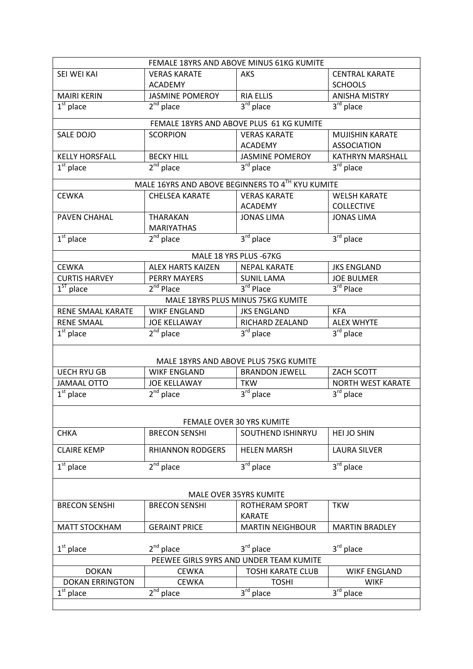| FEMALE 18YRS AND ABOVE MINUS 61KG KUMITE |                           |                                                  |                                  |  |
|------------------------------------------|---------------------------|--------------------------------------------------|----------------------------------|--|
| SEI WEI KAI                              | <b>VERAS KARATE</b>       | <b>AKS</b>                                       | <b>CENTRAL KARATE</b>            |  |
|                                          | <b>ACADEMY</b>            |                                                  | <b>SCHOOLS</b>                   |  |
| <b>MAIRI KERIN</b>                       | <b>JASMINE POMEROY</b>    | <b>RIA ELLIS</b>                                 | <b>ANISHA MISTRY</b>             |  |
| $1st$ place                              | $\overline{2}^{nd}$ place | $3^{\overline{rd}}$ place                        | $\overline{3}^{\text{rd}}$ place |  |
|                                          |                           | FEMALE 18YRS AND ABOVE PLUS 61 KG KUMITE         |                                  |  |
| SALE DOJO                                | <b>SCORPION</b>           | <b>VERAS KARATE</b>                              | MUJISHIN KARATE                  |  |
|                                          |                           | <b>ACADEMY</b>                                   | <b>ASSOCIATION</b>               |  |
| <b>KELLY HORSFALL</b>                    | <b>BECKY HILL</b>         | <b>JASMINE POMEROY</b>                           | <b>KATHRYN MARSHALL</b>          |  |
| $\overline{1^{st}}$ place                | $2nd$ place               | $3rd$ place                                      | 3 <sup>rd</sup> place            |  |
|                                          |                           | MALE 16YRS AND ABOVE BEGINNERS TO 4TH KYU KUMITE |                                  |  |
| <b>CEWKA</b>                             | <b>CHELSEA KARATE</b>     | <b>VERAS KARATE</b>                              | <b>WELSH KARATE</b>              |  |
|                                          |                           | <b>ACADEMY</b>                                   | <b>COLLECTIVE</b>                |  |
| PAVEN CHAHAL                             | <b>THARAKAN</b>           | <b>JONAS LIMA</b>                                | <b>JONAS LIMA</b>                |  |
|                                          | <b>MARIYATHAS</b>         |                                                  |                                  |  |
| $1st$ place                              | $2nd$ place               | $3rd$ place                                      | $3rd$ place                      |  |
|                                          |                           |                                                  |                                  |  |
|                                          |                           | MALE 18 YRS PLUS - 67KG                          |                                  |  |
| <b>CEWKA</b>                             | <b>ALEX HARTS KAIZEN</b>  | <b>NEPAL KARATE</b>                              | <b>JKS ENGLAND</b>               |  |
| <b>CURTIS HARVEY</b>                     | PERRY MAYERS              | <b>SUNIL LAMA</b>                                | <b>JOE BULMER</b>                |  |
| $1ST$ place                              | 2 <sup>nd</sup> Place     | 3rd Place                                        | 3rd Place                        |  |
|                                          |                           | MALE 18YRS PLUS MINUS 75KG KUMITE                |                                  |  |
| RENE SMAAL KARATE                        | <b>WIKF ENGLAND</b>       | <b>JKS ENGLAND</b>                               | <b>KFA</b>                       |  |
| <b>RENE SMAAL</b>                        | <b>JOE KELLAWAY</b>       | RICHARD ZEALAND                                  | <b>ALEX WHYTE</b>                |  |
| $1st$ place                              | $2nd$ place               | 3 <sup>rd</sup> place                            | 3 <sup>rd</sup> place            |  |
|                                          |                           |                                                  |                                  |  |
|                                          |                           | MALE 18YRS AND ABOVE PLUS 75KG KUMITE            |                                  |  |
| <b>UECH RYU GB</b>                       | <b>WIKF ENGLAND</b>       | <b>BRANDON JEWELL</b>                            | ZACH SCOTT                       |  |
| <b>JAMAAL OTTO</b>                       | <b>JOE KELLAWAY</b>       | <b>TKW</b>                                       | <b>NORTH WEST KARATE</b>         |  |
| $\overline{1}^{\text{st}}$ place         | $2nd$ place               | 3 <sup>rd</sup> place                            | 3rd place                        |  |
|                                          |                           |                                                  |                                  |  |
|                                          |                           | FEMALE OVER 30 YRS KUMITE                        |                                  |  |
| <b>CHKA</b>                              | <b>BRECON SENSHI</b>      | SOUTHEND ISHINRYU                                | HEI JO SHIN                      |  |
| <b>CLAIRE KEMP</b>                       | <b>RHIANNON RODGERS</b>   | <b>HELEN MARSH</b>                               | <b>LAURA SILVER</b>              |  |
| $1st$ place                              | $2nd$ place               | 3 <sup>rd</sup> place                            | 3rd place                        |  |
|                                          |                           |                                                  |                                  |  |
| <b>MALE OVER 35YRS KUMITE</b>            |                           |                                                  |                                  |  |
| <b>BRECON SENSHI</b>                     | <b>BRECON SENSHI</b>      | ROTHERAM SPORT                                   | <b>TKW</b>                       |  |
|                                          |                           | <b>KARATE</b>                                    |                                  |  |
| <b>MATT STOCKHAM</b>                     | <b>GERAINT PRICE</b>      | <b>MARTIN NEIGHBOUR</b>                          | <b>MARTIN BRADLEY</b>            |  |
| $1st$ place                              | $2^{nd}$ place            | 3rd place                                        | $3^{\text{rd}}$ place            |  |
| PEEWEE GIRLS 9YRS AND UNDER TEAM KUMITE  |                           |                                                  |                                  |  |
| <b>DOKAN</b>                             | <b>CEWKA</b>              | <b>TOSHI KARATE CLUB</b>                         | <b>WIKF ENGLAND</b>              |  |
| <b>DOKAN ERRINGTON</b>                   | <b>CEWKA</b>              | <b>TOSHI</b>                                     | <b>WIKF</b>                      |  |
| $1st$ place                              | $2nd$ place               | $3rd$ place                                      | $3rd$ place                      |  |
|                                          |                           |                                                  |                                  |  |